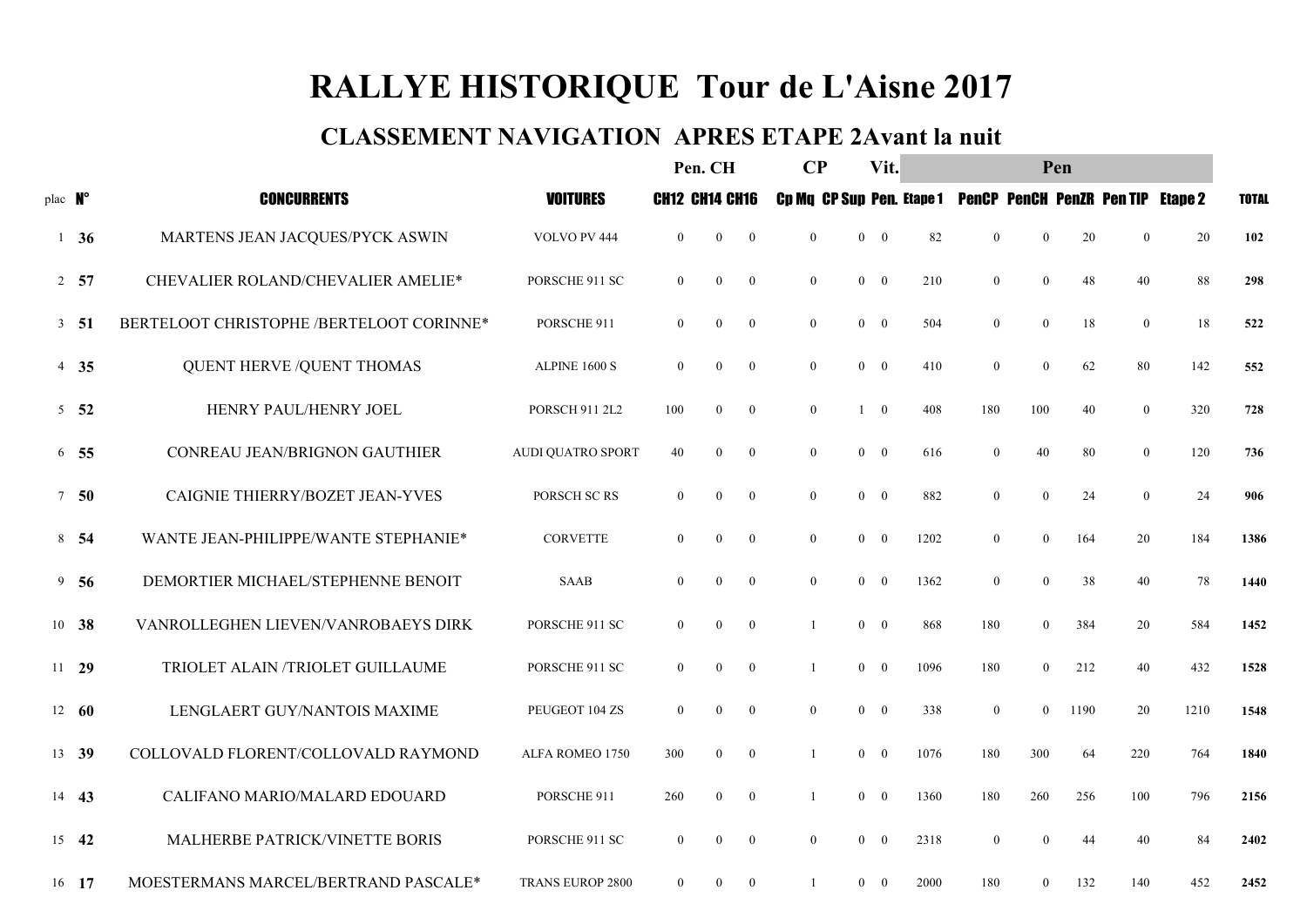# RALLYE HISTORIQUE Tour de L'Aisne 2017

### CLASSEMENT NAVIGATION APRES ETAPE 2Avant la nuit

|         |                 |                                          |                          | Pen. CH               |                  | $\bf CP$         |                | Vit.         | Pen                              |                                  |                  |                  |      |                                 |                |              |
|---------|-----------------|------------------------------------------|--------------------------|-----------------------|------------------|------------------|----------------|--------------|----------------------------------|----------------------------------|------------------|------------------|------|---------------------------------|----------------|--------------|
| plac N° |                 | <b>CONCURRENTS</b>                       | <b>VOITURES</b>          | <b>CH12 CH14 CH16</b> |                  |                  |                |              |                                  | <b>Cp Mq CP Sup Pen. Etape 1</b> |                  |                  |      | <b>PenCP PenCH PenZR PenTIP</b> | <b>Etape 2</b> | <b>TOTAL</b> |
|         | $1\quad36$      | MARTENS JEAN JACQUES/PYCK ASWIN          | VOLVO PV 444             | $\overline{0}$        | $\boldsymbol{0}$ | $\boldsymbol{0}$ | $\mathbf{0}$   | $\mathbf{0}$ | $\mathbf{0}$                     | 82                               | $\boldsymbol{0}$ | $\mathbf{0}$     | 20   | $\mathbf{0}$                    | 20             | 102          |
|         | 2, 57           | CHEVALIER ROLAND/CHEVALIER AMELIE*       | PORSCHE 911 SC           | $\overline{0}$        | $\boldsymbol{0}$ | $\bf{0}$         | $\overline{0}$ |              | $0 \quad 0$                      | 210                              | $\mathbf{0}$     | $\boldsymbol{0}$ | 48   | 40                              | 88             | 298          |
|         | 3, 51           | BERTELOOT CHRISTOPHE /BERTELOOT CORINNE* | PORSCHE 911              | $\overline{0}$        | $\mathbf{0}$     | $\boldsymbol{0}$ | $\mathbf{0}$   |              | $\mathbf{0}$<br>$\bf{0}$         | 504                              | $\mathbf{0}$     | $\mathbf{0}$     | 18   | $\mathbf{0}$                    | 18             | 522          |
|         | $4\quad 35$     | <b>QUENT HERVE /QUENT THOMAS</b>         | ALPINE 1600 S            | $\overline{0}$        | $\boldsymbol{0}$ | $\bf{0}$         | $\overline{0}$ |              | $0 \quad 0$                      | 410                              | $\mathbf{0}$     | $\mathbf{0}$     | 62   | 80                              | 142            | 552          |
|         | $5\quad 52$     | HENRY PAUL/HENRY JOEL                    | <b>PORSCH 911 2L2</b>    | 100                   | $\boldsymbol{0}$ | $\boldsymbol{0}$ | $\overline{0}$ |              | $\bf{0}$<br>$\mathbf{1}$         | 408                              | 180              | 100              | 40   | $\overline{0}$                  | 320            | 728          |
|         | $6\quad 55$     | CONREAU JEAN/BRIGNON GAUTHIER            | <b>AUDI QUATRO SPORT</b> | 40                    | $\boldsymbol{0}$ | $\mathbf{0}$     | $\mathbf{0}$   |              | $\bf{0}$<br>$\mathbf{0}$         | 616                              | $\boldsymbol{0}$ | 40               | 80   | $\overline{0}$                  | 120            | 736          |
|         | 7 <sub>50</sub> | CAIGNIE THIERRY/BOZET JEAN-YVES          | PORSCH SC RS             | $\theta$              | $\mathbf{0}$     | $\overline{0}$   | $\overline{0}$ |              | $0\quad \, 0$                    | 882                              | $\mathbf{0}$     | $\theta$         | 24   | $\mathbf{0}$                    | 24             | 906          |
|         | 8 54            | WANTE JEAN-PHILIPPE/WANTE STEPHANIE*     | <b>CORVETTE</b>          | $\overline{0}$        | $\boldsymbol{0}$ | $\boldsymbol{0}$ | $\mathbf{0}$   |              | $\mathbf{0}$<br>$\bf{0}$         | 1202                             | $\mathbf{0}$     | $\mathbf{0}$     | 164  | 20                              | 184            | 1386         |
|         | $9\quad 56$     | DEMORTIER MICHAEL/STEPHENNE BENOIT       | <b>SAAB</b>              | $\overline{0}$        | $\boldsymbol{0}$ | $\overline{0}$   | $\overline{0}$ |              | $\mathbf{0}$<br>$\bf{0}$         | 1362                             | $\boldsymbol{0}$ | $\mathbf{0}$     | 38   | 40                              | 78             | 1440         |
|         | 10 38           | VANROLLEGHEN LIEVEN/VANROBAEYS DIRK      | PORSCHE 911 SC           | $\overline{0}$        | $\boldsymbol{0}$ | $\bf{0}$         | -1             |              | $\overline{0}$<br>$\bf{0}$       | 868                              | 180              | $\mathbf{0}$     | 384  | 20                              | 584            | 1452         |
|         | $11 \t29$       | TRIOLET ALAIN /TRIOLET GUILLAUME         | PORSCHE 911 SC           | $\overline{0}$        | $\boldsymbol{0}$ | $\boldsymbol{0}$ |                |              | $0 \quad 0$                      | 1096                             | 180              | $\overline{0}$   | 212  | 40                              | 432            | 1528         |
|         | $12 \quad 60$   | LENGLAERT GUY/NANTOIS MAXIME             | PEUGEOT 104 ZS           | $\overline{0}$        | $\mathbf{0}$     | $\overline{0}$   | $\overline{0}$ |              | $0 \quad 0$                      | 338                              | $\mathbf{0}$     | $\mathbf{0}$     | 1190 | 20                              | 1210           | 1548         |
|         | 13 39           | COLLOVALD FLORENT/COLLOVALD RAYMOND      | ALFA ROMEO 1750          | 300                   | $\boldsymbol{0}$ | $\bf{0}$         |                |              | $\mathbf{0}$<br>$\bf{0}$         | 1076                             | 180              | 300              | 64   | 220                             | 764            | 1840         |
|         | 14 43           | CALIFANO MARIO/MALARD EDOUARD            | PORSCHE 911              | 260                   | $\mathbf{0}$     | $\boldsymbol{0}$ | -1             |              | $\mathbf{0}$<br>$\bf{0}$         | 1360                             | 180              | 260              | 256  | 100                             | 796            | 2156         |
|         | 15 42           | MALHERBE PATRICK/VINETTE BORIS           | PORSCHE 911 SC           | $\overline{0}$        | $\boldsymbol{0}$ | $\bf{0}$         | $\overline{0}$ |              | $\overline{0}$<br>$\overline{0}$ | 2318                             | $\boldsymbol{0}$ | $\mathbf{0}$     | 44   | 40                              | 84             | 2402         |
|         | 16 17           | MOESTERMANS MARCEL/BERTRAND PASCALE*     | <b>TRANS EUROP 2800</b>  | $\overline{0}$        | $\mathbf{0}$     | $\mathbf{0}$     | -1             |              | $\overline{0}$<br>$\overline{0}$ | 2000                             | 180              | $\overline{0}$   | 132  | 140                             | 452            | 2452         |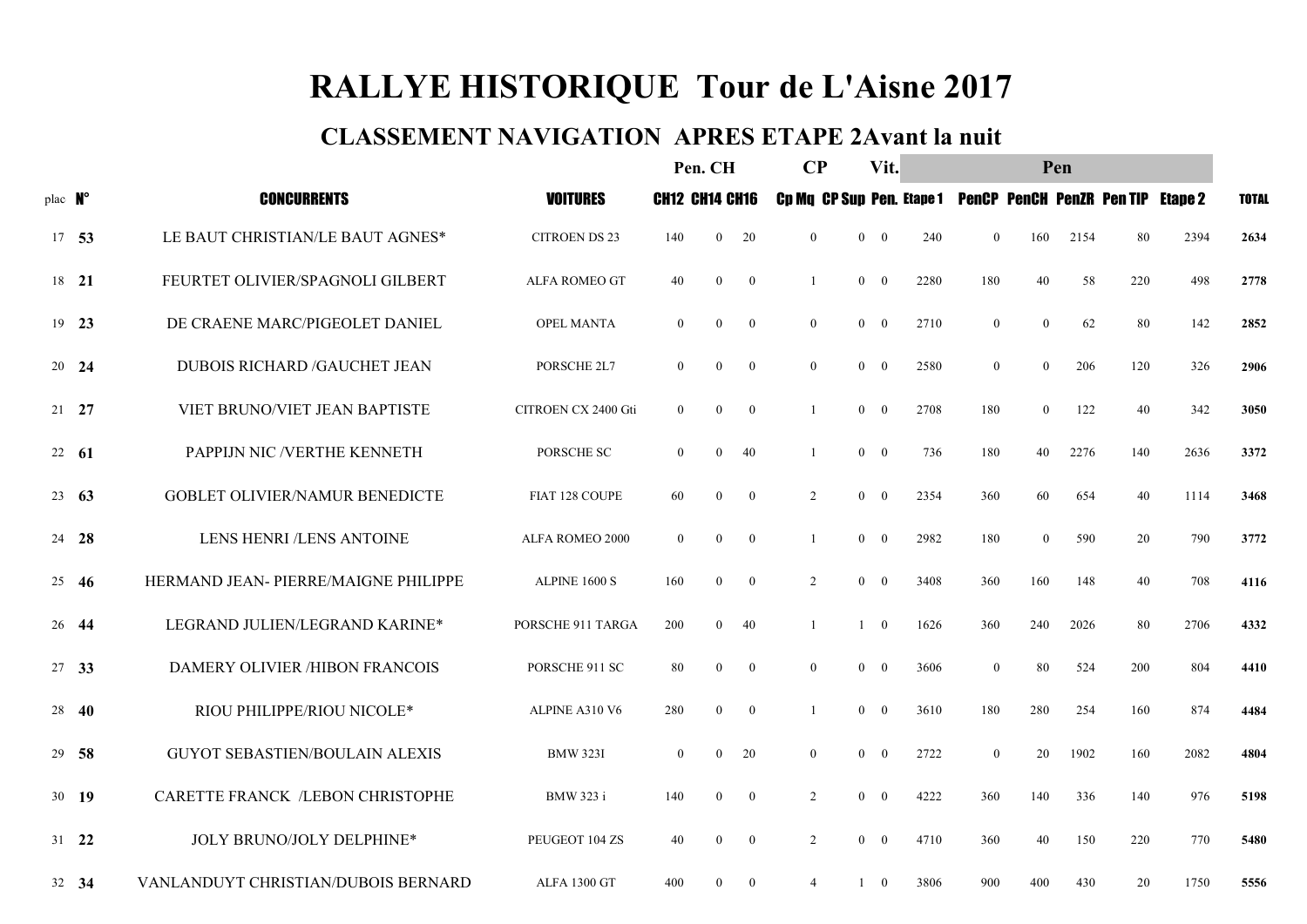# RALLYE HISTORIQUE Tour de L'Aisne 2017

### CLASSEMENT NAVIGATION APRES ETAPE 2Avant la nuit

|         |               |                                       |                      | Pen. CH               |                  | $\bf CP$       |                | Vit.           |                |                                  |                  |                  |      |                                 |                |              |
|---------|---------------|---------------------------------------|----------------------|-----------------------|------------------|----------------|----------------|----------------|----------------|----------------------------------|------------------|------------------|------|---------------------------------|----------------|--------------|
| plac N° |               | <b>CONCURRENTS</b>                    | <b>VOITURES</b>      | <b>CH12 CH14 CH16</b> |                  |                |                |                |                | <b>Cp Mq CP Sup Pen. Etape 1</b> |                  |                  |      | <b>PenCP PenCH PenZR PenTIP</b> | <b>Etape 2</b> | <b>TOTAL</b> |
|         | 17 53         | LE BAUT CHRISTIAN/LE BAUT AGNES*      | <b>CITROEN DS 23</b> | 140                   | $\mathbf{0}$     | 20             | $\overline{0}$ | $\overline{0}$ | $\mathbf{0}$   | 240                              | $\mathbf{0}$     | 160              | 2154 | 80                              | 2394           | 2634         |
|         | 18 21         | FEURTET OLIVIER/SPAGNOLI GILBERT      | ALFA ROMEO GT        | 40                    | $\overline{0}$   | $\bf{0}$       |                | $\overline{0}$ | $\overline{0}$ | 2280                             | 180              | 40               | 58   | 220                             | 498            | 2778         |
|         | 19 23         | DE CRAENE MARC/PIGEOLET DANIEL        | OPEL MANTA           | $\overline{0}$        | $\mathbf{0}$     | $\mathbf{0}$   | $\overline{0}$ | $\overline{0}$ | $\overline{0}$ | 2710                             | $\mathbf{0}$     | $\mathbf{0}$     | 62   | 80                              | 142            | 2852         |
|         | 20 24         | <b>DUBOIS RICHARD /GAUCHET JEAN</b>   | PORSCHE 2L7          | $\overline{0}$        | $\boldsymbol{0}$ | $\overline{0}$ | $\overline{0}$ | $\mathbf{0}$   | $\overline{0}$ | 2580                             | $\boldsymbol{0}$ | $\mathbf{0}$     | 206  | 120                             | 326            | 2906         |
|         | $21 \quad 27$ | VIET BRUNO/VIET JEAN BAPTISTE         | CITROEN CX 2400 Gti  | $\boldsymbol{0}$      | $\boldsymbol{0}$ | $\bf{0}$       |                | $\mathbf{0}$   | $\overline{0}$ | 2708                             | 180              | $\boldsymbol{0}$ | 122  | 40                              | 342            | 3050         |
|         | 22 61         | PAPPIJN NIC /VERTHE KENNETH           | PORSCHE SC           | $\overline{0}$        | $\mathbf{0}$     | 40             | -1             | $\overline{0}$ | $\overline{0}$ | 736                              | 180              | 40               | 2276 | 140                             | 2636           | 3372         |
|         | $23 \t 63$    | <b>GOBLET OLIVIER/NAMUR BENEDICTE</b> | FIAT 128 COUPE       | 60                    | $\overline{0}$   | $\overline{0}$ | 2              | $\overline{0}$ | $\overline{0}$ | 2354                             | 360              | 60               | 654  | 40                              | 1114           | 3468         |
|         | 24 28         | LENS HENRI /LENS ANTOINE              | ALFA ROMEO 2000      | $\boldsymbol{0}$      | $\boldsymbol{0}$ | $\bf{0}$       | -1             | $\mathbf{0}$   | $\overline{0}$ | 2982                             | 180              | $\overline{0}$   | 590  | 20                              | 790            | 3772         |
|         | $25 \quad 46$ | HERMAND JEAN- PIERRE/MAIGNE PHILIPPE  | ALPINE 1600 S        | 160                   | $\mathbf{0}$     | $\mathbf{0}$   | 2              | $\overline{0}$ | $\mathbf{0}$   | 3408                             | 360              | 160              | 148  | 40                              | 708            | 4116         |
|         | 26 44         | LEGRAND JULIEN/LEGRAND KARINE*        | PORSCHE 911 TARGA    | 200                   | $\mathbf{0}$     | 40             | $\overline{1}$ |                | $1 \quad 0$    | 1626                             | 360              | 240              | 2026 | 80                              | 2706           | 4332         |
|         | 27 33         | DAMERY OLIVIER /HIBON FRANCOIS        | PORSCHE 911 SC       | 80                    | $\boldsymbol{0}$ | $\bf{0}$       | $\overline{0}$ | $\mathbf{0}$   | $\bf{0}$       | 3606                             | $\boldsymbol{0}$ | 80               | 524  | 200                             | 804            | 4410         |
|         | 28 40         | RIOU PHILIPPE/RIOU NICOLE*            | ALPINE A310 V6       | 280                   | $\mathbf{0}$     | $\overline{0}$ | -1             | $\overline{0}$ | $\overline{0}$ | 3610                             | 180              | 280              | 254  | 160                             | 874            | 4484         |
|         | 29 58         | <b>GUYOT SEBASTIEN/BOULAIN ALEXIS</b> | <b>BMW 323I</b>      | $\overline{0}$        | $\overline{0}$   | 20             | $\overline{0}$ | $\mathbf{0}$   | $\overline{0}$ | 2722                             | $\boldsymbol{0}$ | 20               | 1902 | 160                             | 2082           | 4804         |
|         | 30 19         | CARETTE FRANCK /LEBON CHRISTOPHE      | BMW 323 i            | 140                   | $\boldsymbol{0}$ | $\bf{0}$       | 2              | $\mathbf{0}$   | $\mathbf{0}$   | 4222                             | 360              | 140              | 336  | 140                             | 976            | 5198         |
|         | $31 \quad 22$ | JOLY BRUNO/JOLY DELPHINE*             | PEUGEOT 104 ZS       | 40                    | $\boldsymbol{0}$ | $\bf{0}$       | 2              | $\overline{0}$ | $\overline{0}$ | 4710                             | 360              | 40               | 150  | 220                             | 770            | 5480         |
|         | 32 34         | VANLANDUYT CHRISTIAN/DUBOIS BERNARD   | ALFA 1300 GT         | 400                   | $\Omega$         | $\mathbf{0}$   | $\overline{4}$ | $\mathbf{1}$   | $\overline{0}$ | 3806                             | 900              | 400              | 430  | 20                              | 1750           | 5556         |